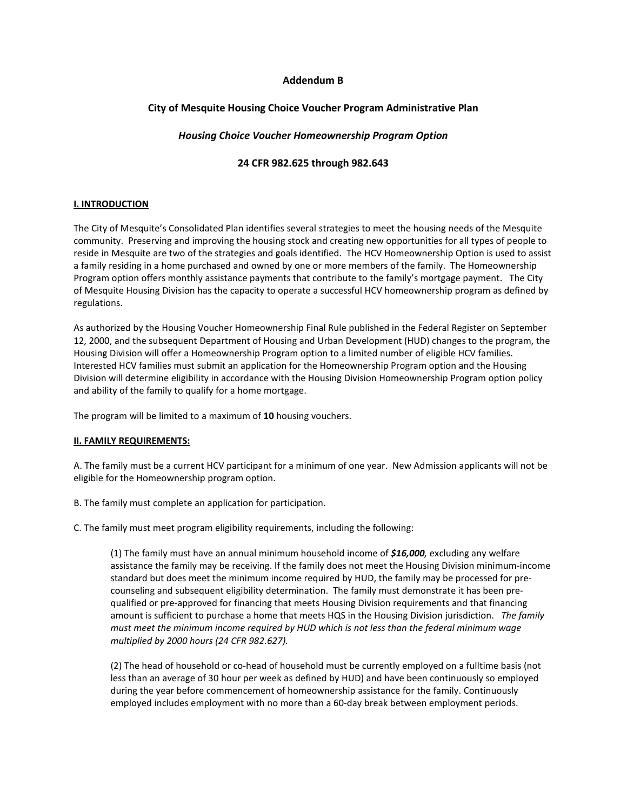# Addendum B

# City of Mesquite Housing Choice Voucher Program Administrative Plan

# Housing Choice Voucher Homeownership Program Option

# 24 CFR 982.625 through 982.643

## I. INTRODUCTION

The City of Mesquite's Consolidated Plan identifies several strategies to meet the housing needs of the Mesquite community. Preserving and improving the housing stock and creating new opportunities for all types of people to reside in Mesquite are two of the strategies and goals identified. The HCV Homeownership Option is used to assist a family residing in a home purchased and owned by one or more members of the family. The Homeownership Program option offers monthly assistance payments that contribute to the family's mortgage payment. The City of Mesquite Housing Division has the capacity to operate a successful HCV homeownership program as defined by regulations.

As authorized by the Housing Voucher Homeownership Final Rule published in the Federal Register on September 12, 2000, and the subsequent Department of Housing and Urban Development (HUD) changes to the program, the Housing Division will offer a Homeownership Program option to a limited number of eligible HCV families. Interested HCV families must submit an application for the Homeownership Program option and the Housing Division will determine eligibility in accordance with the Housing Division Homeownership Program option policy and ability of the family to qualify for a home mortgage.

The program will be limited to a maximum of 10 housing vouchers.

## II. FAMILY REQUIREMENTS:

A. The family must be a current HCV participant for a minimum of one year. New Admission applicants will not be eligible for the Homeownership program option.

B. The family must complete an application for participation.

C. The family must meet program eligibility requirements, including the following:

(1) The family must have an annual minimum household income of  $$16,000$ , excluding any welfare assistance the family may be receiving. If the family does not meet the Housing Division minimum-income standard but does meet the minimum income required by HUD, the family may be processed for precounseling and subsequent eligibility determination. The family must demonstrate it has been prequalified or pre-approved for financing that meets Housing Division requirements and that financing amount is sufficient to purchase a home that meets HQS in the Housing Division jurisdiction. The family must meet the minimum income required by HUD which is not less than the federal minimum wage multiplied by 2000 hours (24 CFR 982.627).

(2) The head of household or co-head of household must be currently employed on a fulltime basis (not less than an average of 30 hour per week as defined by HUD) and have been continuously so employed during the year before commencement of homeownership assistance for the family. Continuously employed includes employment with no more than a 60-day break between employment periods.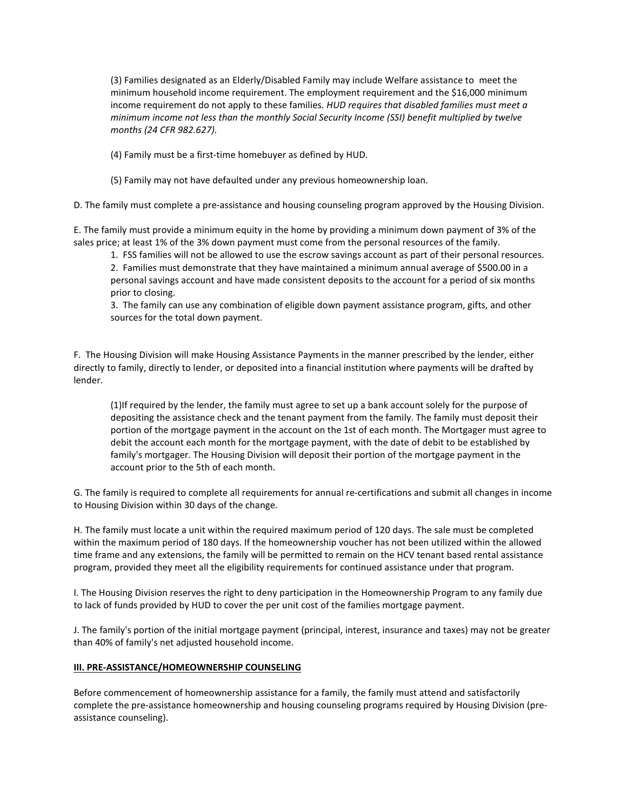(3) Families designated as an Elderly/Disabled Family may include Welfare assistance to meet the minimum household income requirement. The employment requirement and the \$16,000 minimum income requirement do not apply to these families. HUD requires that disabled families must meet a minimum income not less than the monthly Social Security Income (SSI) benefit multiplied by twelve months (24 CFR 982.627).

(4) Family must be a first-time homebuyer as defined by HUD.

(5) Family may not have defaulted under any previous homeownership loan.

D. The family must complete a pre-assistance and housing counseling program approved by the Housing Division.

E. The family must provide a minimum equity in the home by providing a minimum down payment of 3% of the sales price; at least 1% of the 3% down payment must come from the personal resources of the family.

 1. FSS families will not be allowed to use the escrow savings account as part of their personal resources. 2. Families must demonstrate that they have maintained a minimum annual average of \$500.00 in a personal savings account and have made consistent deposits to the account for a period of six months prior to closing.

 3. The family can use any combination of eligible down payment assistance program, gifts, and other sources for the total down payment.

F. The Housing Division will make Housing Assistance Payments in the manner prescribed by the lender, either directly to family, directly to lender, or deposited into a financial institution where payments will be drafted by lender.

(1)If required by the lender, the family must agree to set up a bank account solely for the purpose of depositing the assistance check and the tenant payment from the family. The family must deposit their portion of the mortgage payment in the account on the 1st of each month. The Mortgager must agree to debit the account each month for the mortgage payment, with the date of debit to be established by family's mortgager. The Housing Division will deposit their portion of the mortgage payment in the account prior to the 5th of each month.

G. The family is required to complete all requirements for annual re-certifications and submit all changes in income to Housing Division within 30 days of the change.

H. The family must locate a unit within the required maximum period of 120 days. The sale must be completed within the maximum period of 180 days. If the homeownership voucher has not been utilized within the allowed time frame and any extensions, the family will be permitted to remain on the HCV tenant based rental assistance program, provided they meet all the eligibility requirements for continued assistance under that program.

I. The Housing Division reserves the right to deny participation in the Homeownership Program to any family due to lack of funds provided by HUD to cover the per unit cost of the families mortgage payment.

J. The family's portion of the initial mortgage payment (principal, interest, insurance and taxes) may not be greater than 40% of family's net adjusted household income.

## III. PRE-ASSISTANCE/HOMEOWNERSHIP COUNSELING

Before commencement of homeownership assistance for a family, the family must attend and satisfactorily complete the pre-assistance homeownership and housing counseling programs required by Housing Division (preassistance counseling).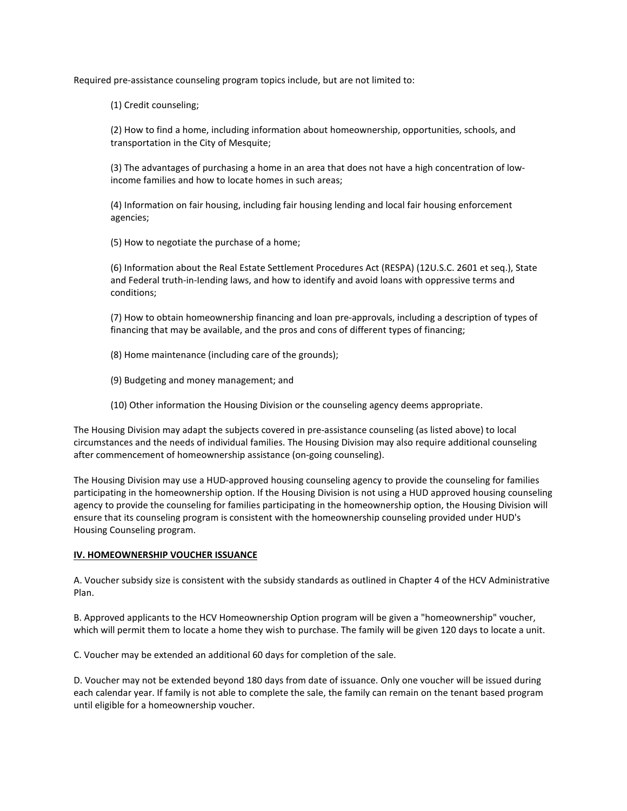Required pre-assistance counseling program topics include, but are not limited to:

(1) Credit counseling;

(2) How to find a home, including information about homeownership, opportunities, schools, and transportation in the City of Mesquite;

(3) The advantages of purchasing a home in an area that does not have a high concentration of lowincome families and how to locate homes in such areas;

(4) Information on fair housing, including fair housing lending and local fair housing enforcement agencies;

(5) How to negotiate the purchase of a home;

(6) Information about the Real Estate Settlement Procedures Act (RESPA) (12U.S.C. 2601 et seq.), State and Federal truth-in-Iending laws, and how to identify and avoid loans with oppressive terms and conditions;

(7) How to obtain homeownership financing and loan pre-approvals, including a description of types of financing that may be available, and the pros and cons of different types of financing;

- (8) Home maintenance (including care of the grounds);
- (9) Budgeting and money management; and
- (10) Other information the Housing Division or the counseling agency deems appropriate.

The Housing Division may adapt the subjects covered in pre-assistance counseling (as listed above) to local circumstances and the needs of individual families. The Housing Division may also require additional counseling after commencement of homeownership assistance (on-going counseling).

The Housing Division may use a HUD-approved housing counseling agency to provide the counseling for families participating in the homeownership option. If the Housing Division is not using a HUD approved housing counseling agency to provide the counseling for families participating in the homeownership option, the Housing Division will ensure that its counseling program is consistent with the homeownership counseling provided under HUD's Housing Counseling program.

## IV. HOMEOWNERSHIP VOUCHER ISSUANCE

A. Voucher subsidy size is consistent with the subsidy standards as outlined in Chapter 4 of the HCV Administrative Plan.

B. Approved applicants to the HCV Homeownership Option program will be given a "homeownership" voucher, which will permit them to locate a home they wish to purchase. The family will be given 120 days to locate a unit.

C. Voucher may be extended an additional 60 days for completion of the sale.

D. Voucher may not be extended beyond 180 days from date of issuance. Only one voucher will be issued during each calendar year. If family is not able to complete the sale, the family can remain on the tenant based program until eligible for a homeownership voucher.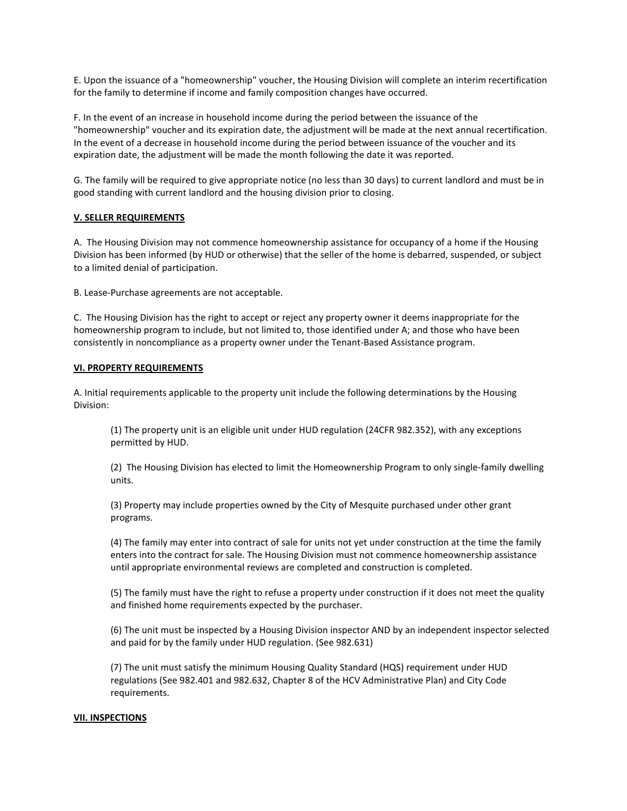E. Upon the issuance of a "homeownership" voucher, the Housing Division will complete an interim recertification for the family to determine if income and family composition changes have occurred.

F. In the event of an increase in household income during the period between the issuance of the "homeownership" voucher and its expiration date, the adjustment will be made at the next annual recertification. In the event of a decrease in household income during the period between issuance of the voucher and its expiration date, the adjustment will be made the month following the date it was reported.

G. The family will be required to give appropriate notice (no less than 30 days) to current landlord and must be in good standing with current landlord and the housing division prior to closing.

## V. SELLER REQUIREMENTS

A. The Housing Division may not commence homeownership assistance for occupancy of a home if the Housing Division has been informed (by HUD or otherwise) that the seller of the home is debarred, suspended, or subject to a limited denial of participation.

B. Lease-Purchase agreements are not acceptable.

C. The Housing Division has the right to accept or reject any property owner it deems inappropriate for the homeownership program to include, but not limited to, those identified under A; and those who have been consistently in noncompliance as a property owner under the Tenant-Based Assistance program.

#### VI. PROPERTY REQUIREMENTS

A. Initial requirements applicable to the property unit include the following determinations by the Housing Division:

 (1) The property unit is an eligible unit under HUD regulation (24CFR 982.352), with any exceptions permitted by HUD.

 (2) The Housing Division has elected to limit the Homeownership Program to only single-family dwelling units.

 (3) Property may include properties owned by the City of Mesquite purchased under other grant programs.

 (4) The family may enter into contract of sale for units not yet under construction at the time the family enters into the contract for sale. The Housing Division must not commence homeownership assistance until appropriate environmental reviews are completed and construction is completed.

 (5) The family must have the right to refuse a property under construction if it does not meet the quality and finished home requirements expected by the purchaser.

 (6) The unit must be inspected by a Housing Division inspector AND by an independent inspector selected and paid for by the family under HUD regulation. (See 982.631)

 (7) The unit must satisfy the minimum Housing Quality Standard (HQS) requirement under HUD regulations (See 982.401 and 982.632, Chapter 8 of the HCV Administrative Plan) and City Code requirements.

#### VII. INSPECTIONS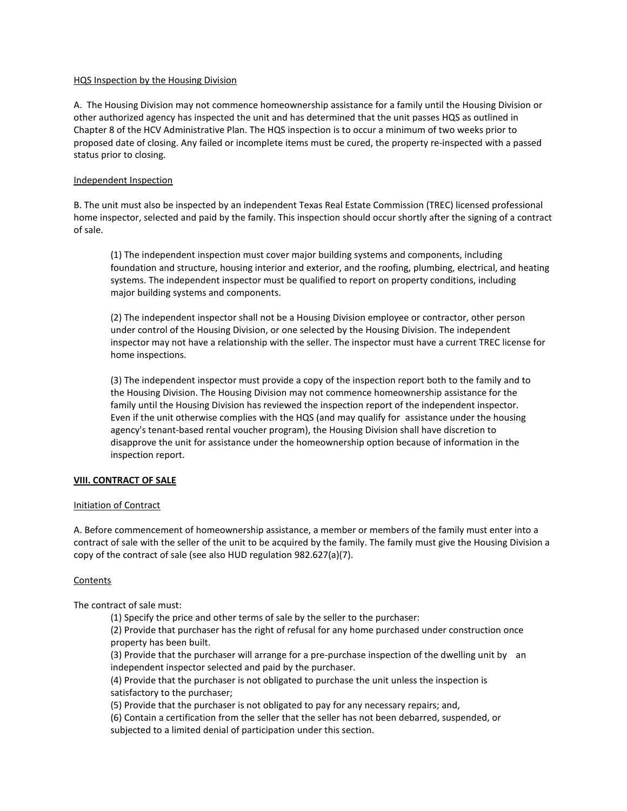## HQS Inspection by the Housing Division

A. The Housing Division may not commence homeownership assistance for a family until the Housing Division or other authorized agency has inspected the unit and has determined that the unit passes HQS as outlined in Chapter 8 of the HCV Administrative Plan. The HQS inspection is to occur a minimum of two weeks prior to proposed date of closing. Any failed or incomplete items must be cured, the property re-inspected with a passed status prior to closing.

## Independent Inspection

B. The unit must also be inspected by an independent Texas Real Estate Commission (TREC) licensed professional home inspector, selected and paid by the family. This inspection should occur shortly after the signing of a contract of sale.

 (1) The independent inspection must cover major building systems and components, including foundation and structure, housing interior and exterior, and the roofing, plumbing, electrical, and heating systems. The independent inspector must be qualified to report on property conditions, including major building systems and components.

 (2) The independent inspector shall not be a Housing Division employee or contractor, other person under control of the Housing Division, or one selected by the Housing Division. The independent inspector may not have a relationship with the seller. The inspector must have a current TREC license for home inspections.

 (3) The independent inspector must provide a copy of the inspection report both to the family and to the Housing Division. The Housing Division may not commence homeownership assistance for the family until the Housing Division has reviewed the inspection report of the independent inspector. Even if the unit otherwise complies with the HQS (and may qualify for assistance under the housing agency's tenant-based rental voucher program), the Housing Division shall have discretion to disapprove the unit for assistance under the homeownership option because of information in the inspection report.

## VIII. CONTRACT OF SALE

## Initiation of Contract

A. Before commencement of homeownership assistance, a member or members of the family must enter into a contract of sale with the seller of the unit to be acquired by the family. The family must give the Housing Division a copy of the contract of sale (see also HUD regulation 982.627(a)(7).

#### **Contents**

The contract of sale must:

(1) Specify the price and other terms of sale by the seller to the purchaser:

 (2) Provide that purchaser has the right of refusal for any home purchased under construction once property has been built.

 (3) Provide that the purchaser will arrange for a pre-purchase inspection of the dwelling unit by an independent inspector selected and paid by the purchaser.

 (4) Provide that the purchaser is not obligated to purchase the unit unless the inspection is satisfactory to the purchaser;

(5) Provide that the purchaser is not obligated to pay for any necessary repairs; and,

 (6) Contain a certification from the seller that the seller has not been debarred, suspended, or subjected to a limited denial of participation under this section.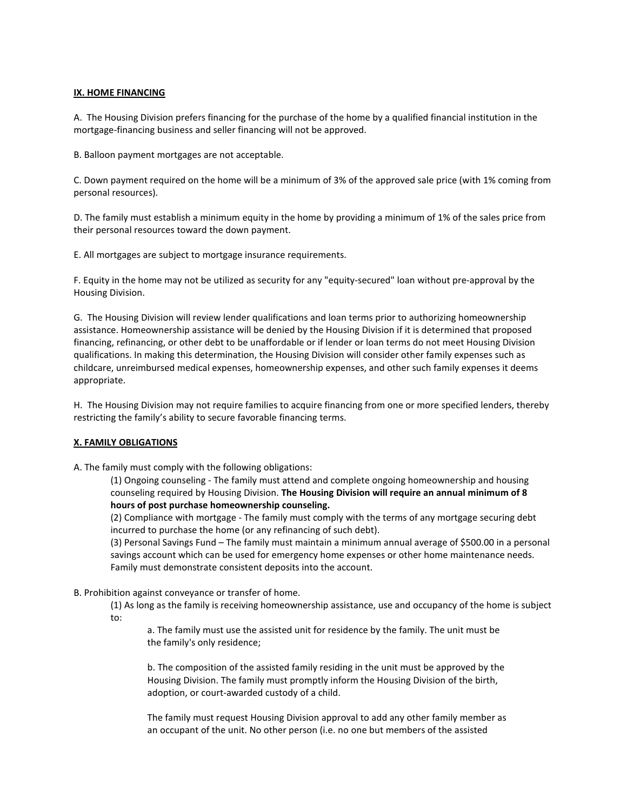# IX. HOME FINANCING

A. The Housing Division prefers financing for the purchase of the home by a qualified financial institution in the mortgage-financing business and seller financing will not be approved.

B. Balloon payment mortgages are not acceptable.

C. Down payment required on the home will be a minimum of 3% of the approved sale price (with 1% coming from personal resources).

D. The family must establish a minimum equity in the home by providing a minimum of 1% of the sales price from their personal resources toward the down payment.

E. All mortgages are subject to mortgage insurance requirements.

F. Equity in the home may not be utilized as security for any "equity-secured" loan without pre-approval by the Housing Division.

G. The Housing Division will review lender qualifications and loan terms prior to authorizing homeownership assistance. Homeownership assistance will be denied by the Housing Division if it is determined that proposed financing, refinancing, or other debt to be unaffordable or if lender or loan terms do not meet Housing Division qualifications. In making this determination, the Housing Division will consider other family expenses such as childcare, unreimbursed medical expenses, homeownership expenses, and other such family expenses it deems appropriate.

H. The Housing Division may not require families to acquire financing from one or more specified lenders, thereby restricting the family's ability to secure favorable financing terms.

## X. FAMILY OBLIGATIONS

A. The family must comply with the following obligations:

 (1) Ongoing counseling - The family must attend and complete ongoing homeownership and housing counseling required by Housing Division. The Housing Division will require an annual minimum of 8 hours of post purchase homeownership counseling.

 (2) Compliance with mortgage - The family must comply with the terms of any mortgage securing debt incurred to purchase the home (or any refinancing of such debt).

 (3) Personal Savings Fund – The family must maintain a minimum annual average of \$500.00 in a personal savings account which can be used for emergency home expenses or other home maintenance needs. Family must demonstrate consistent deposits into the account.

B. Prohibition against conveyance or transfer of home.

 (1) As long as the family is receiving homeownership assistance, use and occupancy of the home is subject  $t \circ t$ 

 a. The family must use the assisted unit for residence by the family. The unit must be the family's only residence;

 b. The composition of the assisted family residing in the unit must be approved by the Housing Division. The family must promptly inform the Housing Division of the birth, adoption, or court-awarded custody of a child.

 The family must request Housing Division approval to add any other family member as an occupant of the unit. No other person (i.e. no one but members of the assisted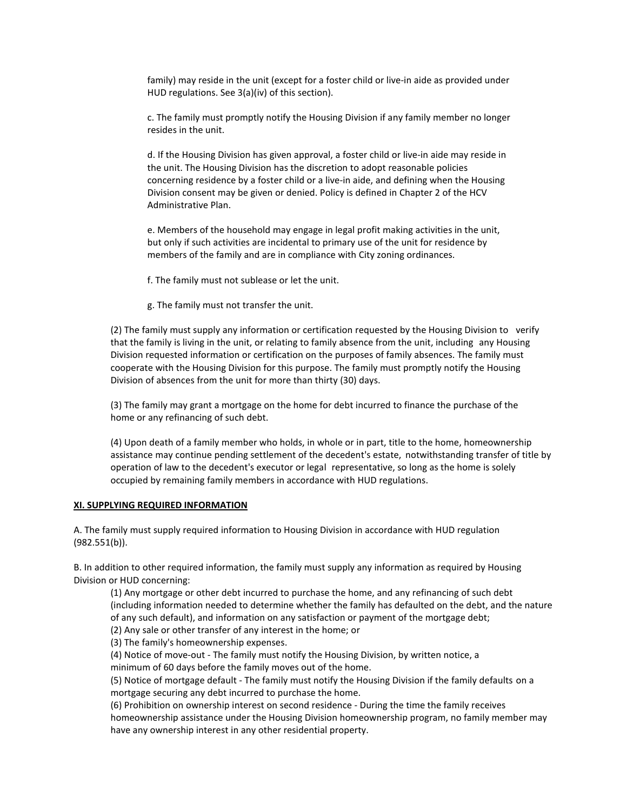family) may reside in the unit (except for a foster child or live-in aide as provided under HUD regulations. See 3(a)(iv) of this section).

 c. The family must promptly notify the Housing Division if any family member no longer resides in the unit.

 d. If the Housing Division has given approval, a foster child or live-in aide may reside in the unit. The Housing Division has the discretion to adopt reasonable policies concerning residence by a foster child or a live-in aide, and defining when the Housing Division consent may be given or denied. Policy is defined in Chapter 2 of the HCV Administrative Plan.

 e. Members of the household may engage in legal profit making activities in the unit, but only if such activities are incidental to primary use of the unit for residence by members of the family and are in compliance with City zoning ordinances.

f. The family must not sublease or let the unit.

g. The family must not transfer the unit.

 (2) The family must supply any information or certification requested by the Housing Division to verify that the family is living in the unit, or relating to family absence from the unit, including any Housing Division requested information or certification on the purposes of family absences. The family must cooperate with the Housing Division for this purpose. The family must promptly notify the Housing Division of absences from the unit for more than thirty (30) days.

 (3) The family may grant a mortgage on the home for debt incurred to finance the purchase of the home or any refinancing of such debt.

 (4) Upon death of a family member who holds, in whole or in part, title to the home, homeownership assistance may continue pending settlement of the decedent's estate, notwithstanding transfer of title by operation of law to the decedent's executor or legal representative, so long as the home is solely occupied by remaining family members in accordance with HUD regulations.

#### XI. SUPPLYING REQUIRED INFORMATION

A. The family must supply required information to Housing Division in accordance with HUD regulation (982.551(b)).

B. In addition to other required information, the family must supply any information as required by Housing Division or HUD concerning:

 (1) Any mortgage or other debt incurred to purchase the home, and any refinancing of such debt (including information needed to determine whether the family has defaulted on the debt, and the nature of any such default), and information on any satisfaction or payment of the mortgage debt;

(2) Any sale or other transfer of any interest in the home; or

(3) The family's homeownership expenses.

(4) Notice of move-out - The family must notify the Housing Division, by written notice, a

minimum of 60 days before the family moves out of the home.

 (5) Notice of mortgage default - The family must notify the Housing Division if the family defaults on a mortgage securing any debt incurred to purchase the home.

 (6) Prohibition on ownership interest on second residence - During the time the family receives homeownership assistance under the Housing Division homeownership program, no family member may have any ownership interest in any other residential property.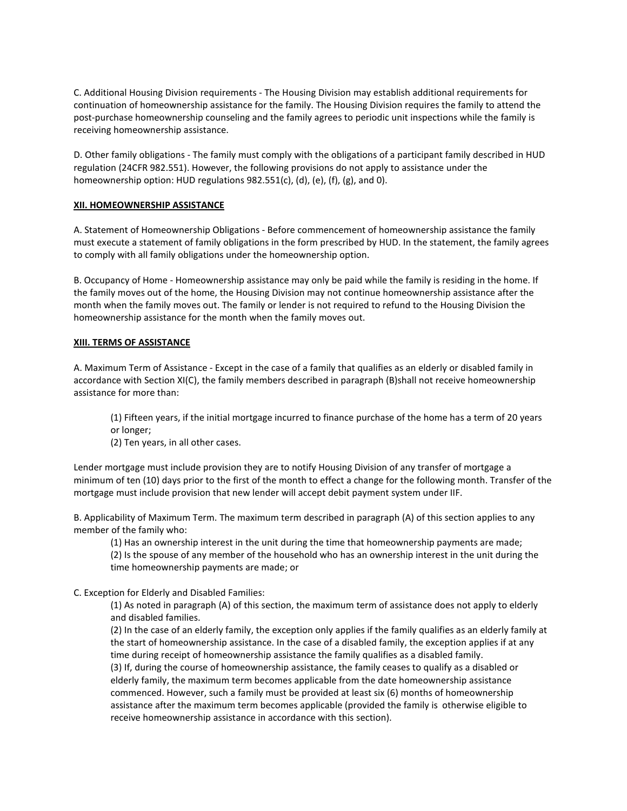C. Additional Housing Division requirements - The Housing Division may establish additional requirements for continuation of homeownership assistance for the family. The Housing Division requires the family to attend the post-purchase homeownership counseling and the family agrees to periodic unit inspections while the family is receiving homeownership assistance.

D. Other family obligations - The family must comply with the obligations of a participant family described in HUD regulation (24CFR 982.551). However, the following provisions do not apply to assistance under the homeownership option: HUD regulations 982.551(c), (d), (e), (f), (g), and 0).

## XII. HOMEOWNERSHIP ASSISTANCE

A. Statement of Homeownership Obligations - Before commencement of homeownership assistance the family must execute a statement of family obligations in the form prescribed by HUD. In the statement, the family agrees to comply with all family obligations under the homeownership option.

B. Occupancy of Home - Homeownership assistance may only be paid while the family is residing in the home. If the family moves out of the home, the Housing Division may not continue homeownership assistance after the month when the family moves out. The family or lender is not required to refund to the Housing Division the homeownership assistance for the month when the family moves out.

## XIII. TERMS OF ASSISTANCE

A. Maximum Term of Assistance - Except in the case of a family that qualifies as an elderly or disabled family in accordance with Section XI(C), the family members described in paragraph (B)shall not receive homeownership assistance for more than:

 (1) Fifteen years, if the initial mortgage incurred to finance purchase of the home has a term of 20 years or longer;

(2) Ten years, in all other cases.

Lender mortgage must include provision they are to notify Housing Division of any transfer of mortgage a minimum of ten (10) days prior to the first of the month to effect a change for the following month. Transfer of the mortgage must include provision that new lender will accept debit payment system under IIF.

B. Applicability of Maximum Term. The maximum term described in paragraph (A) of this section applies to any member of the family who:

 (1) Has an ownership interest in the unit during the time that homeownership payments are made; (2) Is the spouse of any member of the household who has an ownership interest in the unit during the time homeownership payments are made; or

C. Exception for Elderly and Disabled Families:

 (1) As noted in paragraph (A) of this section, the maximum term of assistance does not apply to elderly and disabled families.

 (2) In the case of an elderly family, the exception only applies if the family qualifies as an elderly family at the start of homeownership assistance. In the case of a disabled family, the exception applies if at any time during receipt of homeownership assistance the family qualifies as a disabled family.

 (3) If, during the course of homeownership assistance, the family ceases to qualify as a disabled or elderly family, the maximum term becomes applicable from the date homeownership assistance commenced. However, such a family must be provided at least six (6) months of homeownership assistance after the maximum term becomes applicable (provided the family is otherwise eligible to receive homeownership assistance in accordance with this section).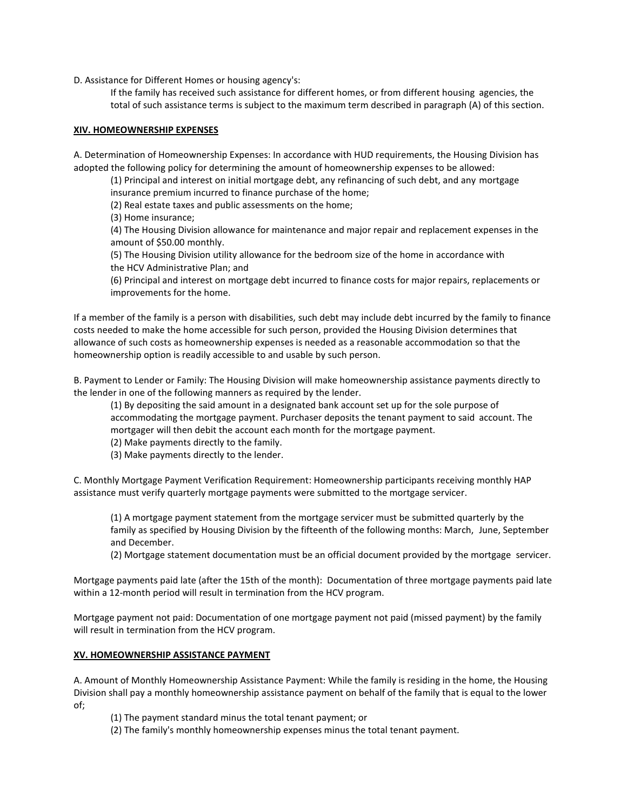D. Assistance for Different Homes or housing agency's:

 If the family has received such assistance for different homes, or from different housing agencies, the total of such assistance terms is subject to the maximum term described in paragraph (A) of this section.

## XIV. HOMEOWNERSHIP EXPENSES

A. Determination of Homeownership Expenses: In accordance with HUD requirements, the Housing Division has adopted the following policy for determining the amount of homeownership expenses to be allowed:

 (1) Principal and interest on initial mortgage debt, any refinancing of such debt, and any mortgage insurance premium incurred to finance purchase of the home;

(2) Real estate taxes and public assessments on the home;

(3) Home insurance;

 (4) The Housing Division allowance for maintenance and major repair and replacement expenses in the amount of \$50.00 monthly.

 (5) The Housing Division utility allowance for the bedroom size of the home in accordance with the HCV Administrative Plan; and

 (6) Principal and interest on mortgage debt incurred to finance costs for major repairs, replacements or improvements for the home.

If a member of the family is a person with disabilities, such debt may include debt incurred by the family to finance costs needed to make the home accessible for such person, provided the Housing Division determines that allowance of such costs as homeownership expenses is needed as a reasonable accommodation so that the homeownership option is readily accessible to and usable by such person.

B. Payment to Lender or Family: The Housing Division will make homeownership assistance payments directly to the lender in one of the following manners as required by the lender.

 (1) By depositing the said amount in a designated bank account set up for the sole purpose of accommodating the mortgage payment. Purchaser deposits the tenant payment to said account. The mortgager will then debit the account each month for the mortgage payment.

- (2) Make payments directly to the family.
- (3) Make payments directly to the lender.

C. Monthly Mortgage Payment Verification Requirement: Homeownership participants receiving monthly HAP assistance must verify quarterly mortgage payments were submitted to the mortgage servicer.

 (1) A mortgage payment statement from the mortgage servicer must be submitted quarterly by the family as specified by Housing Division by the fifteenth of the following months: March, June, September and December.

(2) Mortgage statement documentation must be an official document provided by the mortgage servicer.

Mortgage payments paid late (after the 15th of the month): Documentation of three mortgage payments paid late within a 12-month period will result in termination from the HCV program.

Mortgage payment not paid: Documentation of one mortgage payment not paid (missed payment) by the family will result in termination from the HCV program.

## XV. HOMEOWNERSHIP ASSISTANCE PAYMENT

A. Amount of Monthly Homeownership Assistance Payment: While the family is residing in the home, the Housing Division shall pay a monthly homeownership assistance payment on behalf of the family that is equal to the lower of;

(1) The payment standard minus the total tenant payment; or

(2) The family's monthly homeownership expenses minus the total tenant payment.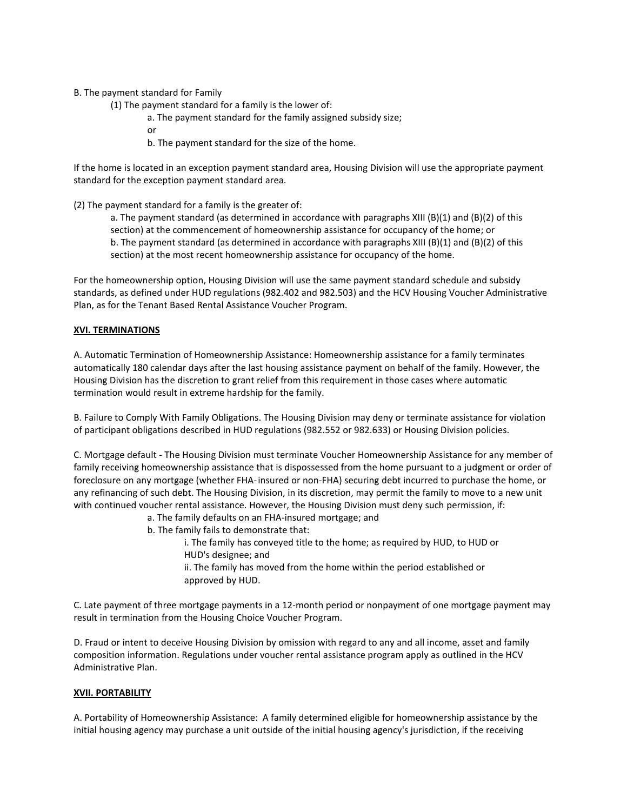B. The payment standard for Family

- (1) The payment standard for a family is the lower of:
	- a. The payment standard for the family assigned subsidy size;
- or
	- b. The payment standard for the size of the home.

If the home is located in an exception payment standard area, Housing Division will use the appropriate payment standard for the exception payment standard area.

(2) The payment standard for a family is the greater of:

a. The payment standard (as determined in accordance with paragraphs XIII (B)(1) and (B)(2) of this section) at the commencement of homeownership assistance for occupancy of the home; or b. The payment standard (as determined in accordance with paragraphs XIII (B)(1) and (B)(2) of this section) at the most recent homeownership assistance for occupancy of the home.

For the homeownership option, Housing Division will use the same payment standard schedule and subsidy standards, as defined under HUD regulations (982.402 and 982.503) and the HCV Housing Voucher Administrative Plan, as for the Tenant Based Rental Assistance Voucher Program.

# XVI. TERMINATIONS

A. Automatic Termination of Homeownership Assistance: Homeownership assistance for a family terminates automatically 180 calendar days after the last housing assistance payment on behalf of the family. However, the Housing Division has the discretion to grant relief from this requirement in those cases where automatic termination would result in extreme hardship for the family.

B. Failure to Comply With Family Obligations. The Housing Division may deny or terminate assistance for violation of participant obligations described in HUD regulations (982.552 or 982.633) or Housing Division policies.

C. Mortgage default - The Housing Division must terminate Voucher Homeownership Assistance for any member of family receiving homeownership assistance that is dispossessed from the home pursuant to a judgment or order of foreclosure on any mortgage (whether FHA- insured or non-FHA) securing debt incurred to purchase the home, or any refinancing of such debt. The Housing Division, in its discretion, may permit the family to move to a new unit with continued voucher rental assistance. However, the Housing Division must deny such permission, if:

- a. The family defaults on an FHA-insured mortgage; and
- b. The family fails to demonstrate that:
	- i. The family has conveyed title to the home; as required by HUD, to HUD or HUD's designee; and
	- ii. The family has moved from the home within the period established or approved by HUD.

C. Late payment of three mortgage payments in a 12-month period or nonpayment of one mortgage payment may result in termination from the Housing Choice Voucher Program.

D. Fraud or intent to deceive Housing Division by omission with regard to any and all income, asset and family composition information. Regulations under voucher rental assistance program apply as outlined in the HCV Administrative Plan.

# XVII. PORTABILITY

A. Portability of Homeownership Assistance: A family determined eligible for homeownership assistance by the initial housing agency may purchase a unit outside of the initial housing agency's jurisdiction, if the receiving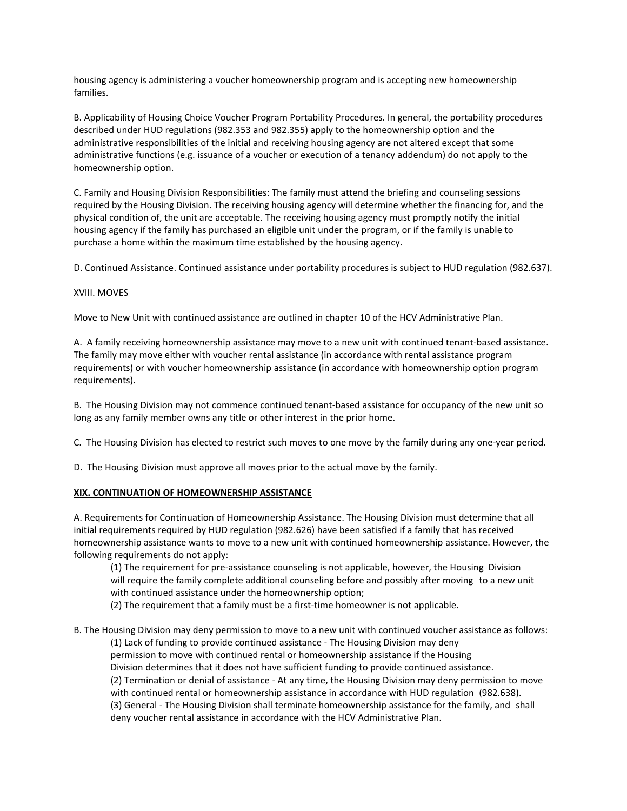housing agency is administering a voucher homeownership program and is accepting new homeownership families.

B. Applicability of Housing Choice Voucher Program Portability Procedures. In general, the portability procedures described under HUD regulations (982.353 and 982.355) apply to the homeownership option and the administrative responsibilities of the initial and receiving housing agency are not altered except that some administrative functions (e.g. issuance of a voucher or execution of a tenancy addendum) do not apply to the homeownership option.

C. Family and Housing Division Responsibilities: The family must attend the briefing and counseling sessions required by the Housing Division. The receiving housing agency will determine whether the financing for, and the physical condition of, the unit are acceptable. The receiving housing agency must promptly notify the initial housing agency if the family has purchased an eligible unit under the program, or if the family is unable to purchase a home within the maximum time established by the housing agency.

D. Continued Assistance. Continued assistance under portability procedures is subject to HUD regulation (982.637).

# XVIII. MOVES

Move to New Unit with continued assistance are outlined in chapter 10 of the HCV Administrative Plan.

A. A family receiving homeownership assistance may move to a new unit with continued tenant-based assistance. The family may move either with voucher rental assistance (in accordance with rental assistance program requirements) or with voucher homeownership assistance (in accordance with homeownership option program requirements).

B. The Housing Division may not commence continued tenant-based assistance for occupancy of the new unit so long as any family member owns any title or other interest in the prior home.

C. The Housing Division has elected to restrict such moves to one move by the family during any one-year period.

D. The Housing Division must approve all moves prior to the actual move by the family.

## XIX. CONTINUATION OF HOMEOWNERSHIP ASSISTANCE

A. Requirements for Continuation of Homeownership Assistance. The Housing Division must determine that all initial requirements required by HUD regulation (982.626) have been satisfied if a family that has received homeownership assistance wants to move to a new unit with continued homeownership assistance. However, the following requirements do not apply:

 (1) The requirement for pre-assistance counseling is not applicable, however, the Housing Division will require the family complete additional counseling before and possibly after moving to a new unit with continued assistance under the homeownership option;

(2) The requirement that a family must be a first-time homeowner is not applicable.

# B. The Housing Division may deny permission to move to a new unit with continued voucher assistance as follows: (1) Lack of funding to provide continued assistance - The Housing Division may deny permission to move with continued rental or homeownership assistance if the Housing Division determines that it does not have sufficient funding to provide continued assistance. (2) Termination or denial of assistance - At any time, the Housing Division may deny permission to move with continued rental or homeownership assistance in accordance with HUD regulation (982.638). (3) General - The Housing Division shall terminate homeownership assistance for the family, and shall deny voucher rental assistance in accordance with the HCV Administrative Plan.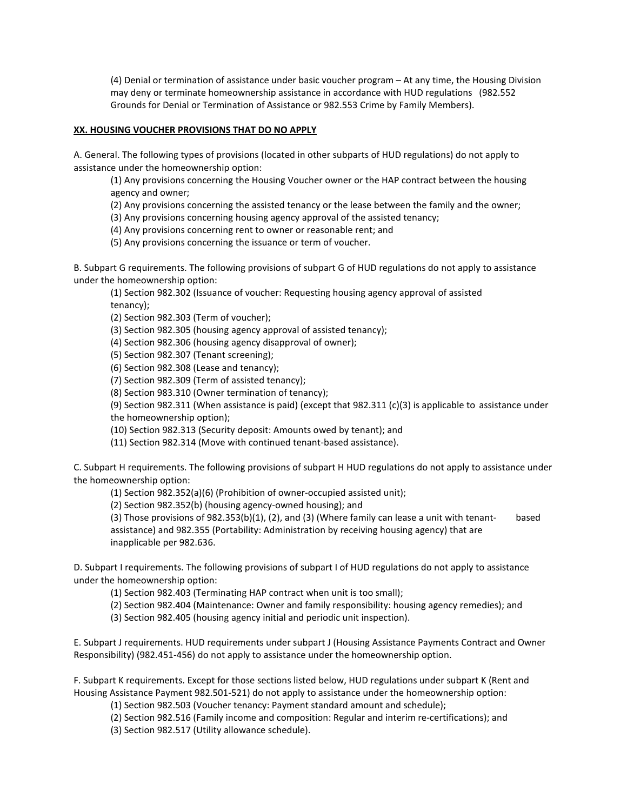(4) Denial or termination of assistance under basic voucher program – At any time, the Housing Division may deny or terminate homeownership assistance in accordance with HUD regulations (982.552 Grounds for Denial or Termination of Assistance or 982.553 Crime by Family Members).

## XX. HOUSING VOUCHER PROVISIONS THAT DO NO APPLY

A. General. The following types of provisions (located in other subparts of HUD regulations) do not apply to assistance under the homeownership option:

 (1) Any provisions concerning the Housing Voucher owner or the HAP contract between the housing agency and owner;

(2) Any provisions concerning the assisted tenancy or the lease between the family and the owner;

(3) Any provisions concerning housing agency approval of the assisted tenancy;

(4) Any provisions concerning rent to owner or reasonable rent; and

(5) Any provisions concerning the issuance or term of voucher.

B. Subpart G requirements. The following provisions of subpart G of HUD regulations do not apply to assistance under the homeownership option:

 (1) Section 982.302 (Issuance of voucher: Requesting housing agency approval of assisted tenancy);

(2) Section 982.303 (Term of voucher);

(3) Section 982.305 (housing agency approval of assisted tenancy);

(4) Section 982.306 (housing agency disapproval of owner);

(5) Section 982.307 (Tenant screening);

(6) Section 982.308 (Lease and tenancy);

(7) Section 982.309 (Term of assisted tenancy);

(8) Section 983.310 (Owner termination of tenancy);

 (9) Section 982.311 (When assistance is paid) (except that 982.311 (c)(3) is applicable to assistance under the homeownership option);

(10) Section 982.313 (Security deposit: Amounts owed by tenant); and

(11) Section 982.314 (Move with continued tenant-based assistance).

C. Subpart H requirements. The following provisions of subpart H HUD regulations do not apply to assistance under the homeownership option:

(1) Section 982.352(a)(6) (Prohibition of owner-occupied assisted unit);

(2) Section 982.352(b) (housing agency-owned housing); and

 (3) Those provisions of 982.353(b)(1), (2), and (3) (Where family can lease a unit with tenant- based assistance) and 982.355 (Portability: Administration by receiving housing agency) that are inapplicable per 982.636.

D. Subpart I requirements. The following provisions of subpart I of HUD regulations do not apply to assistance under the homeownership option:

(1) Section 982.403 (Terminating HAP contract when unit is too small);

(2) Section 982.404 (Maintenance: Owner and family responsibility: housing agency remedies); and

(3) Section 982.405 (housing agency initial and periodic unit inspection).

E. Subpart J requirements. HUD requirements under subpart J (Housing Assistance Payments Contract and Owner Responsibility) (982.451-456) do not apply to assistance under the homeownership option.

F. Subpart K requirements. Except for those sections listed below, HUD regulations under subpart K (Rent and Housing Assistance Payment 982.501-521) do not apply to assistance under the homeownership option:

(1) Section 982.503 (Voucher tenancy: Payment standard amount and schedule);

(2) Section 982.516 (Family income and composition: Regular and interim re-certifications); and

(3) Section 982.517 (Utility allowance schedule).